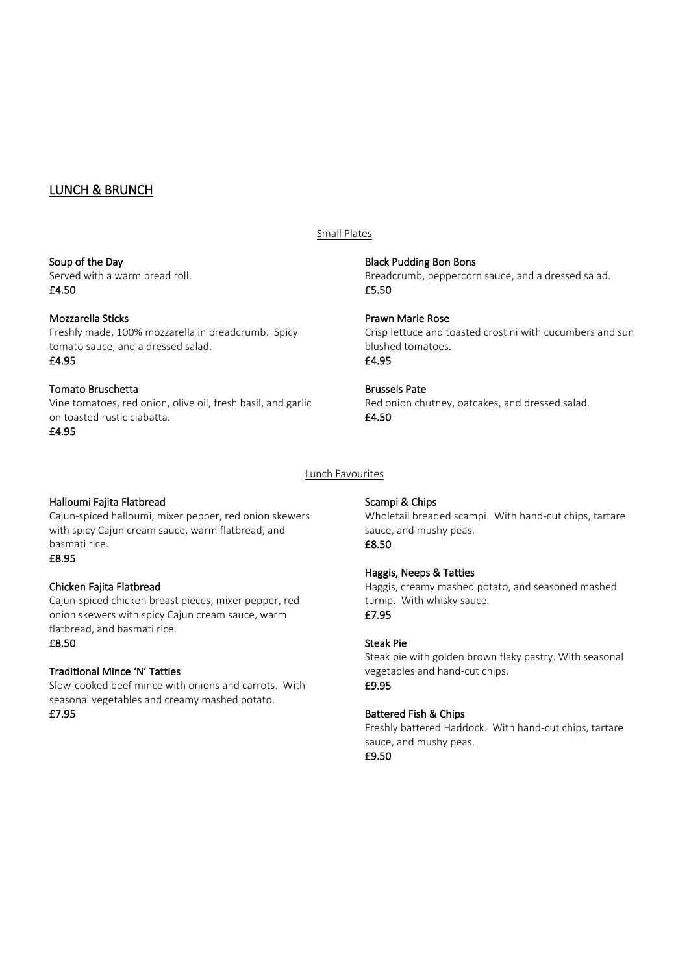# LUNCH & BRUNCH

#### Soup of the Day

Served with a warm bread roll. £4.50

## Mozzarella Sticks

Freshly made, 100% mozzarella in breadcrumb. Spicy tomato sauce, and a dressed salad. £4.95

## Tomato Bruschetta

Vine tomatoes, red onion, olive oil, fresh basil, and garlic on toasted rustic ciabatta.

£4.95

# Lunch Favourites

Small Plates

£5.50

£4.95

£4.50

# Halloumi Fajita Flatbread

Cajun-spiced halloumi, mixer pepper, red onion skewers with spicy Cajun cream sauce, warm flatbread, and basmati rice.

# £8.95

# Chicken Fajita Flatbread

Cajun-spiced chicken breast pieces, mixer pepper, red onion skewers with spicy Cajun cream sauce, warm flatbread, and basmati rice.

## £8.50

# Traditional Mince 'N' Tatties

Slow-cooked beef mince with onions and carrots. With seasonal vegetables and creamy mashed potato. £7.95

## Scampi & Chips

Black Pudding Bon Bons

Prawn Marie Rose

blushed tomatoes.

Brussels Pate

Wholetail breaded scampi. With hand-cut chips, tartare sauce, and mushy peas. £8.50

Breadcrumb, peppercorn sauce, and a dressed salad.

Red onion chutney, oatcakes, and dressed salad.

Crisp lettuce and toasted crostini with cucumbers and sun

# Haggis, Neeps & Tatties

Haggis, creamy mashed potato, and seasoned mashed turnip. With whisky sauce. £7.95

## Steak Pie

Steak pie with golden brown flaky pastry. With seasonal vegetables and hand-cut chips. £9.95

# Battered Fish & Chips

Freshly battered Haddock. With hand-cut chips, tartare sauce, and mushy peas. £9.50